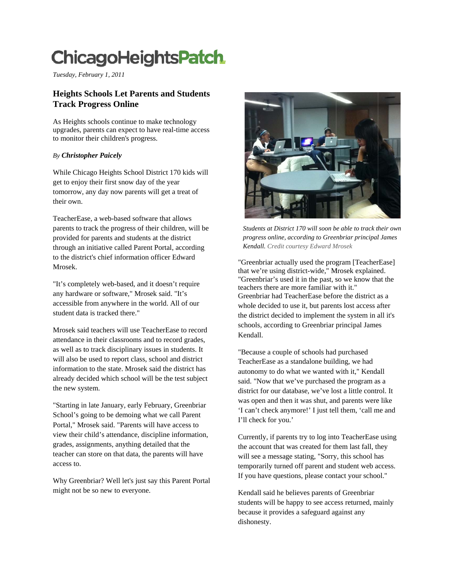## **ChicagoHeightsPatch**

*Tuesday, Fe ebruary 1, 2011* 

## **Heights Schools Let Parents and Students Track Progress Online**

As Heights schools continue to make technology upgrades, p parents can exp pect to have re al-time access to monitor their children' s progress.

## *By Christopher Paicely*

While Chicago Heights School District 170 kids will get to enjoy their first snow day of the year tomorrow, any day now p parents will ge t a treat of their own.

TeacherEase, a web-based software that allows parents to track the progress of their children, will be provided for parents and students at the district through an initiative called Parent Portal, according to the district's chief information officer Edward Mrosek.

"It's completely web-based, and it doesn't require any hardware or software," Mrosek said. "It's accessible from anywher e in the world. All of our student data is tracked there."

Mrosek sai id teachers wil l use TeacherE Ease to record attendance in their classrooms and to record grades, as well as to track disciplinary issues in students. It will also be used to report class, school and district information to the state. Mrosek said the district has already decided which school will be the test subject the new system.

"Starting in late January, early February, Greenbriar School's going to be demoing what we call Parent Portal," Mrosek said. "Parents will have access to view their child's attendance, discipline information, grades, ass signments, any thing detailed that the teacher can store on that data, the parents will have access to.

Why Greenbriar? Well let's just say this Parent Portal might not be so new to everyone.



Students at District 170 will soon be able to track their own *prog gress online, ac cording to Gree nbriar principal l James* Kendall. Credit courtesy Edward Mrosek

"Greenbriar actually used the program [TeacherEase] that we're using district-wide," Mrosek explained. "Greenbriar's used it in the past, so we know that the teachers there are more familiar with it." Greenbriar had TeacherEase before the district as a whole decided to use it, but parents lost access after the d district decided to implement the system in a all it's schools, according to Greenbriar principal James Kendall.

"Because a couple of schools had purchased TeacherEase as a standalone building, we had autonomy to do what we wanted with it," Kendall said. "Now that we've purchased the program as a district for our database, we've lost a little control. It was open and then it was shut, and parents were like 'I can't check anymore!' I just tell them, 'call me and I'll c heck for you.'

Currently, if parents try to log into TeacherEase using the account that was created for them last fall, they will see a message stating, "Sorry, this school has temp porarily turned off parent and student web a access. If you have questions, please contact your school."

Kendall said he believes parents of Greenbriar students will be happy to see access returned, mainly because it provides a safeguard against any dishonesty.